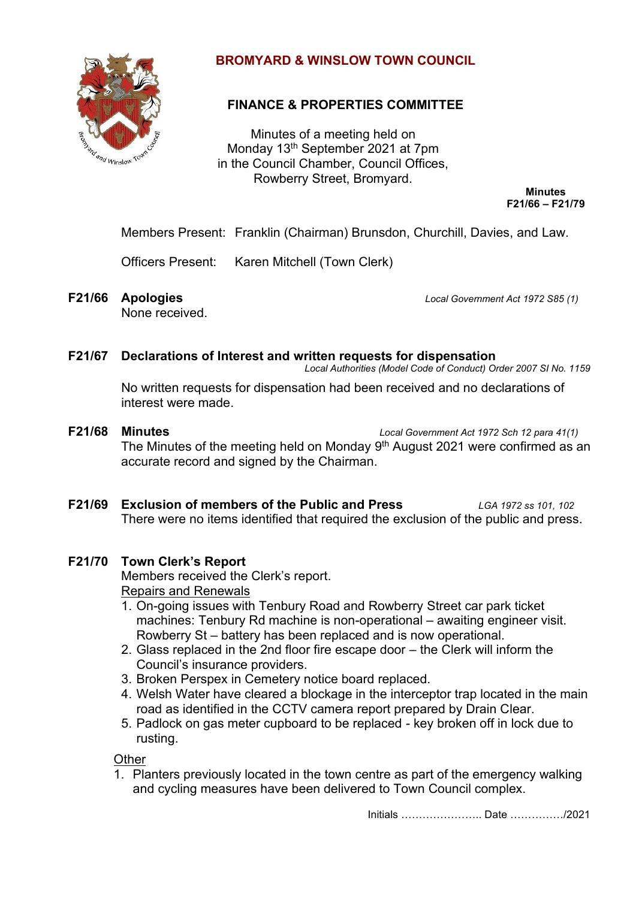

# **BROMYARD & WINSLOW TOWN COUNCIL**

# **FINANCE & PROPERTIES COMMITTEE**

Minutes of a meeting held on Monday 13th September 2021 at 7pm in the Council Chamber, Council Offices, Rowberry Street, Bromyard.

> **Minutes F21/66 – F21/79**

Members Present: Franklin (Chairman) Brunsdon, Churchill, Davies, and Law.

Officers Present: Karen Mitchell (Town Clerk)

None received.

**F21/66 Apologies** *Local Government Act 1972 S85 (1)*

#### **F21/67 Declarations of Interest and written requests for dispensation**

*Local Authorities (Model Code of Conduct) Order 2007 SI No. 1159*

No written requests for dispensation had been received and no declarations of interest were made.

- **F21/68 Minutes** *Local Government Act 1972 Sch 12 para 41(1)* The Minutes of the meeting held on Monday  $9<sup>th</sup>$  August 2021 were confirmed as an accurate record and signed by the Chairman.
- **F21/69 Exclusion of members of the Public and Press** *LGA 1972 ss 101, 102* There were no items identified that required the exclusion of the public and press.

# **F21/70 Town Clerk's Report**

Members received the Clerk's report. Repairs and Renewals

- 1. On-going issues with Tenbury Road and Rowberry Street car park ticket machines: Tenbury Rd machine is non-operational – awaiting engineer visit. Rowberry St – battery has been replaced and is now operational.
- 2. Glass replaced in the 2nd floor fire escape door the Clerk will inform the Council's insurance providers.
- 3. Broken Perspex in Cemetery notice board replaced.
- 4. Welsh Water have cleared a blockage in the interceptor trap located in the main road as identified in the CCTV camera report prepared by Drain Clear.
- 5. Padlock on gas meter cupboard to be replaced key broken off in lock due to rusting.

**Other** 

1. Planters previously located in the town centre as part of the emergency walking and cycling measures have been delivered to Town Council complex.

Initials ………………….. Date ……………/2021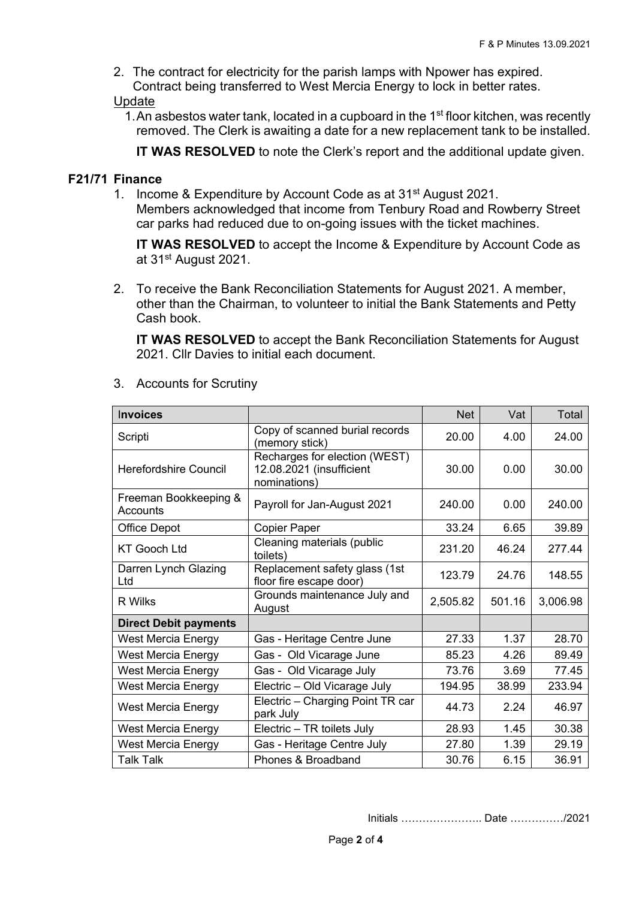2. The contract for electricity for the parish lamps with Npower has expired. Contract being transferred to West Mercia Energy to lock in better rates.

Update

1. An asbestos water tank, located in a cupboard in the 1<sup>st</sup> floor kitchen, was recently removed. The Clerk is awaiting a date for a new replacement tank to be installed.

**IT WAS RESOLVED** to note the Clerk's report and the additional update given.

## **F21/71 Finance**

1. Income & Expenditure by Account Code as at 31<sup>st</sup> August 2021.

Members acknowledged that income from Tenbury Road and Rowberry Street car parks had reduced due to on-going issues with the ticket machines.

**IT WAS RESOLVED** to accept the Income & Expenditure by Account Code as at 31st August 2021.

2. To receive the Bank Reconciliation Statements for August 2021. A member, other than the Chairman, to volunteer to initial the Bank Statements and Petty Cash book.

**IT WAS RESOLVED** to accept the Bank Reconciliation Statements for August 2021. Cllr Davies to initial each document.

| <b>Invoices</b>                   |                                                                           | <b>Net</b> | Vat    | Total    |
|-----------------------------------|---------------------------------------------------------------------------|------------|--------|----------|
| Scripti                           | Copy of scanned burial records<br>(memory stick)                          | 20.00      | 4.00   | 24.00    |
| <b>Herefordshire Council</b>      | Recharges for election (WEST)<br>12.08.2021 (insufficient<br>nominations) | 30.00      | 0.00   | 30.00    |
| Freeman Bookkeeping &<br>Accounts | Payroll for Jan-August 2021                                               | 240.00     | 0.00   | 240.00   |
| <b>Office Depot</b>               | <b>Copier Paper</b>                                                       | 33.24      | 6.65   | 39.89    |
| <b>KT Gooch Ltd</b>               | Cleaning materials (public<br>toilets)                                    | 231.20     | 46.24  | 277.44   |
| Darren Lynch Glazing<br>Ltd       | Replacement safety glass (1st<br>floor fire escape door)                  | 123.79     | 24.76  | 148.55   |
| R Wilks                           | Grounds maintenance July and<br>August                                    | 2,505.82   | 501.16 | 3,006.98 |
| <b>Direct Debit payments</b>      |                                                                           |            |        |          |
| West Mercia Energy                | Gas - Heritage Centre June                                                | 27.33      | 1.37   | 28.70    |
| <b>West Mercia Energy</b>         | Gas - Old Vicarage June                                                   | 85.23      | 4.26   | 89.49    |
| West Mercia Energy                | Gas - Old Vicarage July                                                   | 73.76      | 3.69   | 77.45    |
| <b>West Mercia Energy</b>         | Electric - Old Vicarage July                                              | 194.95     | 38.99  | 233.94   |
| <b>West Mercia Energy</b>         | Electric - Charging Point TR car<br>park July                             | 44.73      | 2.24   | 46.97    |
| West Mercia Energy                | Electric - TR toilets July                                                | 28.93      | 1.45   | 30.38    |
| <b>West Mercia Energy</b>         | Gas - Heritage Centre July                                                | 27.80      | 1.39   | 29.19    |
| <b>Talk Talk</b>                  | Phones & Broadband                                                        | 30.76      | 6.15   | 36.91    |

3. Accounts for Scrutiny

Initials ………………….. Date ……………/2021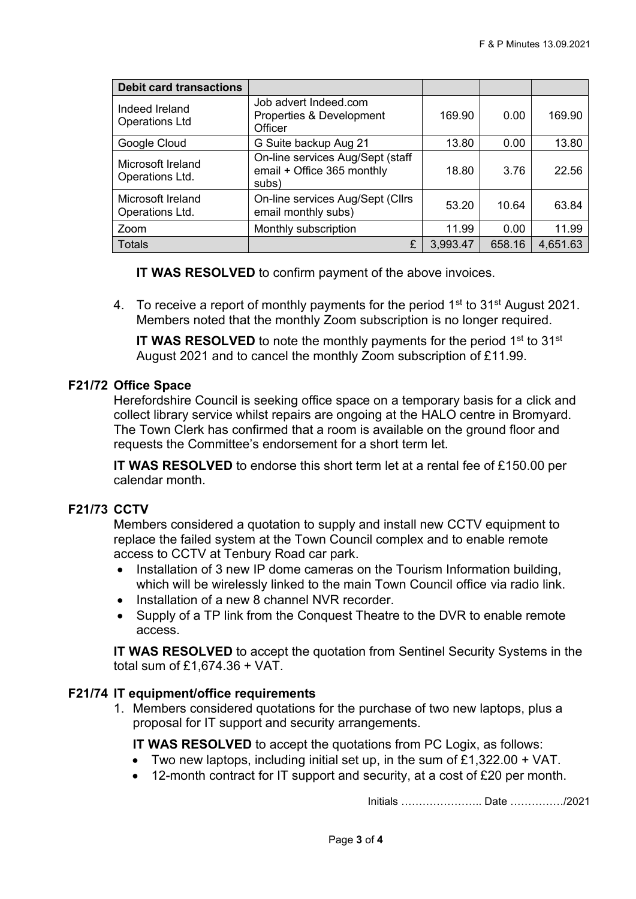| <b>Debit card transactions</b>          |                                                                         |          |        |          |
|-----------------------------------------|-------------------------------------------------------------------------|----------|--------|----------|
| Indeed Ireland<br><b>Operations Ltd</b> | Job advert Indeed.com<br>Properties & Development<br>Officer            | 169.90   | 0.00   | 169.90   |
| Google Cloud                            | G Suite backup Aug 21                                                   | 13.80    | 0.00   | 13.80    |
| Microsoft Ireland<br>Operations Ltd.    | On-line services Aug/Sept (staff<br>email + Office 365 monthly<br>subs) | 18.80    | 3.76   | 22.56    |
| Microsoft Ireland<br>Operations Ltd.    | On-line services Aug/Sept (Cllrs<br>email monthly subs)                 | 53.20    | 10.64  | 63.84    |
| Zoom                                    | Monthly subscription                                                    | 11.99    | 0.00   | 11.99    |
| <b>Totals</b>                           | £                                                                       | 3,993.47 | 658.16 | 4,651.63 |

**IT WAS RESOLVED** to confirm payment of the above invoices.

4. To receive a report of monthly payments for the period 1<sup>st</sup> to 31<sup>st</sup> August 2021. Members noted that the monthly Zoom subscription is no longer required.

**IT WAS RESOLVED** to note the monthly payments for the period 1<sup>st</sup> to 31<sup>st</sup> August 2021 and to cancel the monthly Zoom subscription of £11.99.

### **F21/72 Office Space**

Herefordshire Council is seeking office space on a temporary basis for a click and collect library service whilst repairs are ongoing at the HALO centre in Bromyard. The Town Clerk has confirmed that a room is available on the ground floor and requests the Committee's endorsement for a short term let.

**IT WAS RESOLVED** to endorse this short term let at a rental fee of £150.00 per calendar month.

## **F21/73 CCTV**

Members considered a quotation to supply and install new CCTV equipment to replace the failed system at the Town Council complex and to enable remote access to CCTV at Tenbury Road car park.

- Installation of 3 new IP dome cameras on the Tourism Information building, which will be wirelessly linked to the main Town Council office via radio link.
- Installation of a new 8 channel NVR recorder.
- Supply of a TP link from the Conquest Theatre to the DVR to enable remote access.

**IT WAS RESOLVED** to accept the quotation from Sentinel Security Systems in the total sum of £1,674.36 + VAT.

### **F21/74 IT equipment/office requirements**

1. Members considered quotations for the purchase of two new laptops, plus a proposal for IT support and security arrangements.

**IT WAS RESOLVED** to accept the quotations from PC Logix, as follows:

- Two new laptops, including initial set up, in the sum of  $£1,322.00 + VAT$ .
- 12-month contract for IT support and security, at a cost of £20 per month.

Initials ………………….. Date ……………/2021